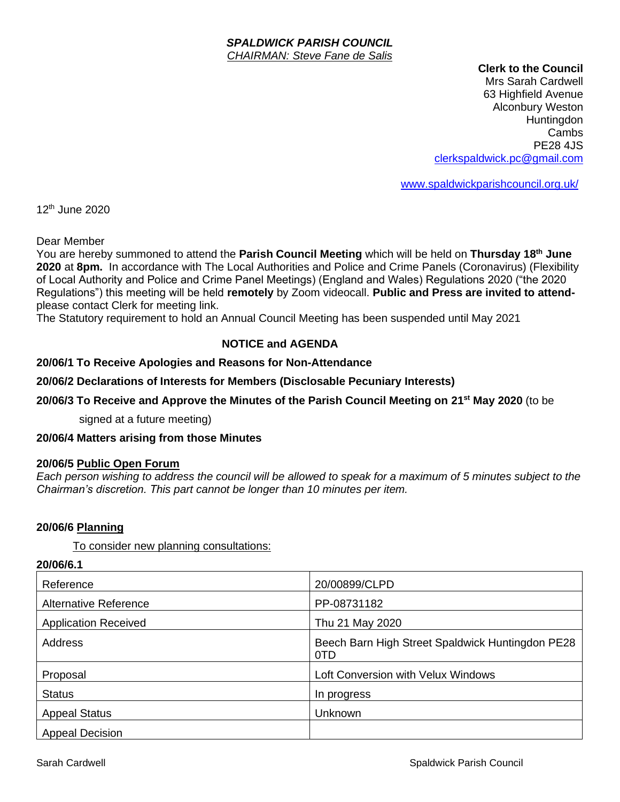#### *SPALDWICK PARISH COUNCIL CHAIRMAN: Steve Fane de Salis*

#### **Clerk to the Council**

Mrs Sarah Cardwell 63 Highfield Avenue Alconbury Weston **Huntingdon** Cambs PE28 4JS [clerkspaldwick.pc@gmail.com](mailto:clerkspaldwick.pc@gmail.com)

[www.spaldwickparishcouncil.org.uk/](http://www.spaldwickparishcouncil.org.uk/)

12th June 2020

Dear Member

You are hereby summoned to attend the **Parish Council Meeting** which will be held on **Thursday 18th June 2020** at **8pm.** In accordance with The Local Authorities and Police and Crime Panels (Coronavirus) (Flexibility of Local Authority and Police and Crime Panel Meetings) (England and Wales) Regulations 2020 ("the 2020 Regulations") this meeting will be held **remotely** by Zoom videocall. **Public and Press are invited to attend**please contact Clerk for meeting link.

The Statutory requirement to hold an Annual Council Meeting has been suspended until May 2021

## **NOTICE and AGENDA**

## **20/06/1 To Receive Apologies and Reasons for Non-Attendance**

#### **20/06/2 Declarations of Interests for Members (Disclosable Pecuniary Interests)**

### **20/06/3 To Receive and Approve the Minutes of the Parish Council Meeting on 21st May 2020** (to be

signed at a future meeting)

#### **20/06/4 Matters arising from those Minutes**

#### **20/06/5 Public Open Forum**

*Each person wishing to address the council will be allowed to speak for a maximum of 5 minutes subject to the Chairman's discretion. This part cannot be longer than 10 minutes per item.* 

#### **20/06/6 Planning**

To consider new planning consultations:

**20/06/6.1**

| Reference                    | 20/00899/CLPD                                           |
|------------------------------|---------------------------------------------------------|
| <b>Alternative Reference</b> | PP-08731182                                             |
| <b>Application Received</b>  | Thu 21 May 2020                                         |
| Address                      | Beech Barn High Street Spaldwick Huntingdon PE28<br>0TD |
| Proposal                     | Loft Conversion with Velux Windows                      |
| <b>Status</b>                | In progress                                             |
| <b>Appeal Status</b>         | <b>Unknown</b>                                          |
| <b>Appeal Decision</b>       |                                                         |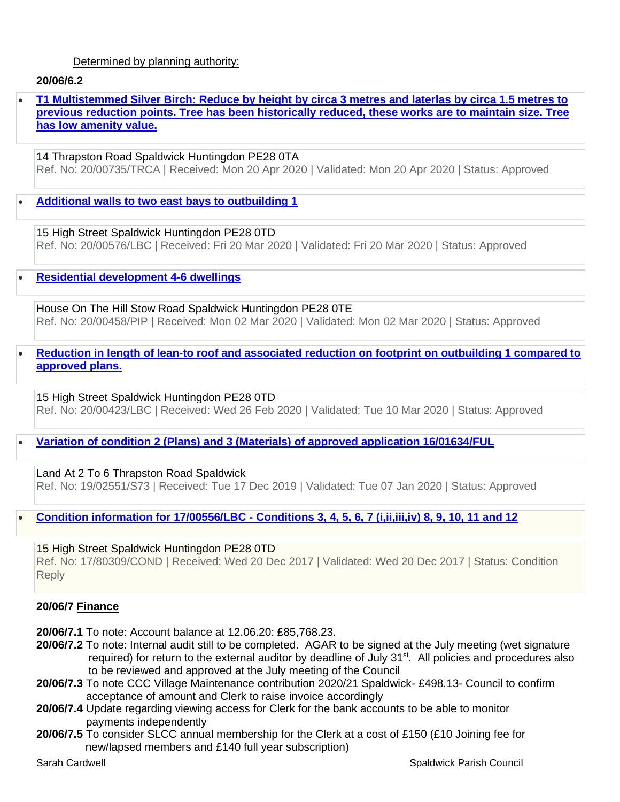## Determined by planning authority:

## **20/06/6.2**

• **[T1 Multistemmed Silver Birch: Reduce by height by circa 3 metres and laterlas by circa 1.5 metres to](https://publicaccess.huntingdonshire.gov.uk/online-applications/applicationDetails.do?keyVal=Q92UBIIKKH200&activeTab=summary)  [previous reduction points. Tree has been historically reduced, these works are to maintain size. Tree](https://publicaccess.huntingdonshire.gov.uk/online-applications/applicationDetails.do?keyVal=Q92UBIIKKH200&activeTab=summary)  [has low amenity value.](https://publicaccess.huntingdonshire.gov.uk/online-applications/applicationDetails.do?keyVal=Q92UBIIKKH200&activeTab=summary)**

14 Thrapston Road Spaldwick Huntingdon PE28 0TA Ref. No: 20/00735/TRCA | Received: Mon 20 Apr 2020 | Validated: Mon 20 Apr 2020 | Status: Approved

• **[Additional walls to two east bays to outbuilding 1](https://publicaccess.huntingdonshire.gov.uk/online-applications/applicationDetails.do?keyVal=Q7HTN7IKJXA00&activeTab=summary)**

15 High Street Spaldwick Huntingdon PE28 0TD Ref. No: 20/00576/LBC | Received: Fri 20 Mar 2020 | Validated: Fri 20 Mar 2020 | Status: Approved

• **[Residential development 4-6 dwellings](https://publicaccess.huntingdonshire.gov.uk/online-applications/applicationDetails.do?keyVal=Q6M1FTIK0DP00&activeTab=summary)**

House On The Hill Stow Road Spaldwick Huntingdon PE28 0TE Ref. No: 20/00458/PIP | Received: Mon 02 Mar 2020 | Validated: Mon 02 Mar 2020 | Status: Approved

• **[Reduction in length of lean-to roof and associated reduction on footprint on outbuilding 1 compared to](https://publicaccess.huntingdonshire.gov.uk/online-applications/applicationDetails.do?keyVal=Q6BB1HIKJHW00&activeTab=summary)  [approved plans.](https://publicaccess.huntingdonshire.gov.uk/online-applications/applicationDetails.do?keyVal=Q6BB1HIKJHW00&activeTab=summary)**

15 High Street Spaldwick Huntingdon PE28 0TD Ref. No: 20/00423/LBC | Received: Wed 26 Feb 2020 | Validated: Tue 10 Mar 2020 | Status: Approved

• **[Variation of condition 2 \(Plans\) and 3 \(Materials\) of approved application 16/01634/FUL](https://publicaccess.huntingdonshire.gov.uk/online-applications/applicationDetails.do?keyVal=Q2NFOHIK0HH00&activeTab=summary)**

Land At 2 To 6 Thrapston Road Spaldwick Ref. No: 19/02551/S73 | Received: Tue 17 Dec 2019 | Validated: Tue 07 Jan 2020 | Status: Approved

• **Condition information for 17/00556/LBC - [Conditions 3, 4, 5, 6, 7 \(i,ii,iii,iv\) 8, 9, 10, 11 and 12](https://publicaccess.huntingdonshire.gov.uk/online-applications/applicationDetails.do?keyVal=P193VHIK04800&activeTab=summary)**

15 High Street Spaldwick Huntingdon PE28 0TD Ref. No: 17/80309/COND | Received: Wed 20 Dec 2017 | Validated: Wed 20 Dec 2017 | Status: Condition Reply

## **20/06/7 Finance**

**20/06/7.1** To note: Account balance at 12.06.20: £85,768.23.

- **20/06/7.2** To note: Internal audit still to be completed. AGAR to be signed at the July meeting (wet signature required) for return to the external auditor by deadline of July 31<sup>st</sup>. All policies and procedures also to be reviewed and approved at the July meeting of the Council
- **20/06/7.3** To note CCC Village Maintenance contribution 2020/21 Spaldwick- £498.13- Council to confirm acceptance of amount and Clerk to raise invoice accordingly
- **20/06/7.4** Update regarding viewing access for Clerk for the bank accounts to be able to monitor payments independently
- **20/06/7.5** To consider SLCC annual membership for the Clerk at a cost of £150 (£10 Joining fee for new/lapsed members and £140 full year subscription)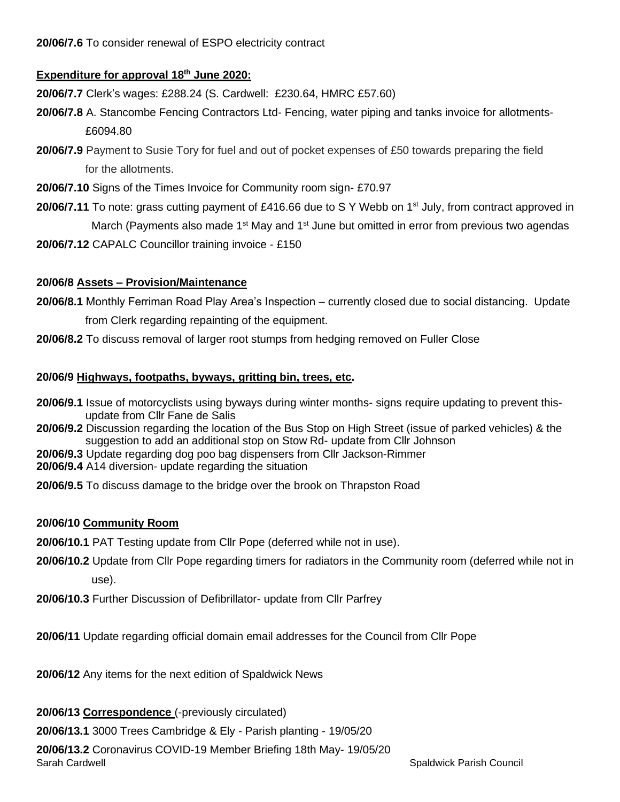# **Expenditure for approval 18th June 2020:**

**20/06/7.7** Clerk's wages: £288.24 (S. Cardwell: £230.64, HMRC £57.60)

- **20/06/7.8** A. Stancombe Fencing Contractors Ltd- Fencing, water piping and tanks invoice for allotments- £6094.80
- **20/06/7.9** Payment to Susie Tory for fuel and out of pocket expenses of £50 towards preparing the field for the allotments.
- **20/06/7.10** Signs of the Times Invoice for Community room sign- £70.97
- **20/06/7.11** To note: grass cutting payment of £416.66 due to S Y Webb on 1<sup>st</sup> July, from contract approved in March (Payments also made 1<sup>st</sup> May and 1<sup>st</sup> June but omitted in error from previous two agendas
- **20/06/7.12** CAPALC Councillor training invoice £150

## **20/06/8 Assets – Provision/Maintenance**

- **20/06/8.1** Monthly Ferriman Road Play Area's Inspection currently closed due to social distancing. Update from Clerk regarding repainting of the equipment.
- **20/06/8.2** To discuss removal of larger root stumps from hedging removed on Fuller Close

## **20/06/9 Highways, footpaths, byways, gritting bin, trees, etc.**

- **20/06/9.1** Issue of motorcyclists using byways during winter months- signs require updating to prevent this update from Cllr Fane de Salis
- **20/06/9.2** Discussion regarding the location of the Bus Stop on High Street (issue of parked vehicles) & the suggestion to add an additional stop on Stow Rd- update from Cllr Johnson
- **20/06/9.3** Update regarding dog poo bag dispensers from Cllr Jackson-Rimmer
- **20/06/9.4** A14 diversion- update regarding the situation
- **20/06/9.5** To discuss damage to the bridge over the brook on Thrapston Road

## **20/06/10 Community Room**

**20/06/10.1** PAT Testing update from Cllr Pope (deferred while not in use).

- **20/06/10.2** Update from Cllr Pope regarding timers for radiators in the Community room (deferred while not in use).
- **20/06/10.3** Further Discussion of Defibrillator- update from Cllr Parfrey

**20/06/11** Update regarding official domain email addresses for the Council from Cllr Pope

**20/06/12** Any items for the next edition of Spaldwick News

**20/06/13 Correspondence** (-previously circulated)

**20/06/13.1** 3000 Trees Cambridge & Ely - Parish planting - 19/05/20

Sarah Cardwell Spaldwick Parish Council **20/06/13.2** Coronavirus COVID-19 Member Briefing 18th May- 19/05/20